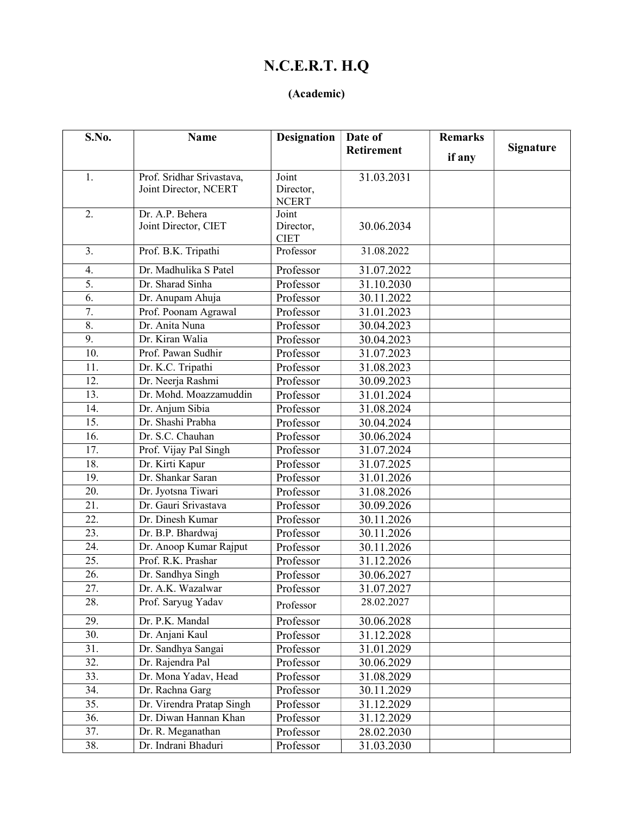## N.C.E.R.T. H.Q

#### (Academic)

| S.No.             | Name                                               | <b>Designation</b> | Date of           | <b>Remarks</b> |                  |
|-------------------|----------------------------------------------------|--------------------|-------------------|----------------|------------------|
|                   |                                                    |                    | <b>Retirement</b> | if any         | <b>Signature</b> |
|                   |                                                    | Joint              |                   |                |                  |
| 1.                | Prof. Sridhar Srivastava,<br>Joint Director, NCERT | Director,          | 31.03.2031        |                |                  |
|                   |                                                    | <b>NCERT</b>       |                   |                |                  |
| 2.                | Dr. A.P. Behera                                    | Joint              |                   |                |                  |
|                   | Joint Director, CIET                               | Director,          | 30.06.2034        |                |                  |
|                   |                                                    | <b>CIET</b>        |                   |                |                  |
| 3.                | Prof. B.K. Tripathi                                | Professor          | 31.08.2022        |                |                  |
| 4.                | Dr. Madhulika S Patel                              | Professor          | 31.07.2022        |                |                  |
| 5.                | Dr. Sharad Sinha                                   | Professor          | 31.10.2030        |                |                  |
| 6.                | Dr. Anupam Ahuja                                   | Professor          | 30.11.2022        |                |                  |
| 7.                | Prof. Poonam Agrawal                               | Professor          | 31.01.2023        |                |                  |
| 8.                | Dr. Anita Nuna                                     | Professor          | 30.04.2023        |                |                  |
| 9.                | Dr. Kiran Walia                                    | Professor          | 30.04.2023        |                |                  |
| $\overline{10}$ . | Prof. Pawan Sudhir                                 | Professor          | 31.07.2023        |                |                  |
| 11.               | Dr. K.C. Tripathi                                  | Professor          | 31.08.2023        |                |                  |
| 12.               | Dr. Neerja Rashmi                                  | Professor          | 30.09.2023        |                |                  |
| 13.               | Dr. Mohd. Moazzamuddin                             | Professor          | 31.01.2024        |                |                  |
| 14.               | Dr. Anjum Sibia                                    | Professor          | 31.08.2024        |                |                  |
| $\overline{15}$ . | Dr. Shashi Prabha                                  | Professor          | 30.04.2024        |                |                  |
| 16.               | Dr. S.C. Chauhan                                   | Professor          | 30.06.2024        |                |                  |
| 17.               | Prof. Vijay Pal Singh                              | Professor          | 31.07.2024        |                |                  |
| 18.               | Dr. Kirti Kapur                                    | Professor          | 31.07.2025        |                |                  |
| 19.               | Dr. Shankar Saran                                  | Professor          | 31.01.2026        |                |                  |
| 20.               | Dr. Jyotsna Tiwari                                 | Professor          | 31.08.2026        |                |                  |
| 21.               | Dr. Gauri Srivastava                               | Professor          | 30.09.2026        |                |                  |
| 22.               | Dr. Dinesh Kumar                                   | Professor          | 30.11.2026        |                |                  |
| $\overline{23}$ . | Dr. B.P. Bhardwaj                                  | Professor          | 30.11.2026        |                |                  |
| 24.               | Dr. Anoop Kumar Rajput                             | Professor          | 30.11.2026        |                |                  |
| 25.               | Prof. R.K. Prashar                                 | Professor          | 31.12.2026        |                |                  |
| 26.               | Dr. Sandhya Singh                                  | Professor          | 30.06.2027        |                |                  |
| $\overline{27}$ . | Dr. A.K. Wazalwar                                  | Professor          | 31.07.2027        |                |                  |
| 28.               | Prof. Saryug Yadav                                 | Professor          | 28.02.2027        |                |                  |
| 29.               | Dr. P.K. Mandal                                    | Professor          | 30.06.2028        |                |                  |
| 30.               | Dr. Anjani Kaul                                    | Professor          | 31.12.2028        |                |                  |
| 31.               | Dr. Sandhya Sangai                                 | Professor          | 31.01.2029        |                |                  |
| 32.               | Dr. Rajendra Pal                                   | Professor          | 30.06.2029        |                |                  |
| 33.               | Dr. Mona Yadav, Head                               | Professor          | 31.08.2029        |                |                  |
| 34.               | Dr. Rachna Garg                                    | Professor          | 30.11.2029        |                |                  |
| 35.               | Dr. Virendra Pratap Singh                          | Professor          | 31.12.2029        |                |                  |
| 36.               | Dr. Diwan Hannan Khan                              | Professor          | 31.12.2029        |                |                  |
| 37.               | Dr. R. Meganathan                                  | Professor          | 28.02.2030        |                |                  |
| 38.               | Dr. Indrani Bhaduri                                | Professor          | 31.03.2030        |                |                  |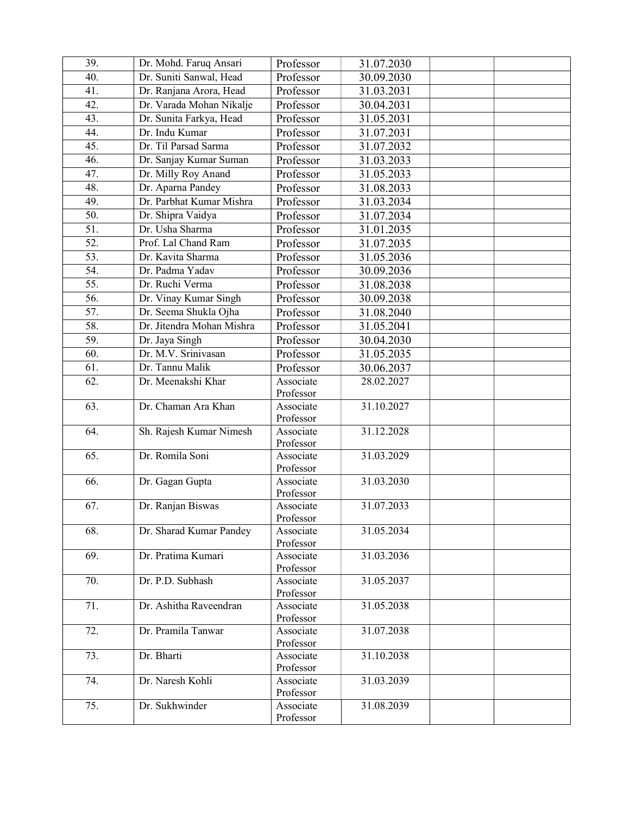| $\overline{39}$ . | Dr. Mohd. Faruq Ansari    | Professor              | 31.07.2030 |  |
|-------------------|---------------------------|------------------------|------------|--|
| 40.               | Dr. Suniti Sanwal, Head   | Professor              | 30.09.2030 |  |
| 41.               | Dr. Ranjana Arora, Head   | Professor              | 31.03.2031 |  |
| 42.               | Dr. Varada Mohan Nikalje  | Professor              | 30.04.2031 |  |
| 43.               | Dr. Sunita Farkya, Head   | Professor              | 31.05.2031 |  |
| 44.               | Dr. Indu Kumar            | Professor              | 31.07.2031 |  |
| 45.               | Dr. Til Parsad Sarma      | Professor              | 31.07.2032 |  |
| 46.               | Dr. Sanjay Kumar Suman    | Professor              | 31.03.2033 |  |
| 47.               | Dr. Milly Roy Anand       | Professor              | 31.05.2033 |  |
| 48.               | Dr. Aparna Pandey         | Professor              | 31.08.2033 |  |
| 49.               | Dr. Parbhat Kumar Mishra  | Professor              | 31.03.2034 |  |
| 50.               | Dr. Shipra Vaidya         | Professor              | 31.07.2034 |  |
| 51.               | Dr. Usha Sharma           | Professor              | 31.01.2035 |  |
| 52.               | Prof. Lal Chand Ram       | Professor              | 31.07.2035 |  |
| 53.               | Dr. Kavita Sharma         | Professor              | 31.05.2036 |  |
| 54.               | Dr. Padma Yadav           | Professor              | 30.09.2036 |  |
| $\overline{55}$ . | Dr. Ruchi Verma           | Professor              | 31.08.2038 |  |
| 56.               | Dr. Vinay Kumar Singh     | Professor              | 30.09.2038 |  |
| $\overline{57}$ . | Dr. Seema Shukla Ojha     | Professor              | 31.08.2040 |  |
| 58.               | Dr. Jitendra Mohan Mishra | Professor              | 31.05.2041 |  |
| 59.               | Dr. Jaya Singh            | Professor              | 30.04.2030 |  |
| 60.               | Dr. M.V. Srinivasan       | Professor              | 31.05.2035 |  |
| 61.               | Dr. Tannu Malik           | Professor              | 30.06.2037 |  |
| $\overline{62}$ . | Dr. Meenakshi Khar        | Associate              | 28.02.2027 |  |
|                   |                           | Professor              |            |  |
| 63.               | Dr. Chaman Ara Khan       | Associate              | 31.10.2027 |  |
|                   |                           | Professor              |            |  |
| 64.               | Sh. Rajesh Kumar Nimesh   | Associate              | 31.12.2028 |  |
|                   |                           | Professor              |            |  |
| 65.               | Dr. Romila Soni           | Associate              | 31.03.2029 |  |
| 66.               |                           | Professor              | 31.03.2030 |  |
|                   | Dr. Gagan Gupta           | Associate<br>Professor |            |  |
| 67.               | Dr. Ranjan Biswas         | Associate              | 31.07.2033 |  |
|                   |                           | Professor              |            |  |
| 68.               | Dr. Sharad Kumar Pandey   | Associate              | 31.05.2034 |  |
|                   |                           | Professor              |            |  |
| 69.               | Dr. Pratima Kumari        | Associate              | 31.03.2036 |  |
|                   |                           | Professor              |            |  |
| 70.               | Dr. P.D. Subhash          | Associate              | 31.05.2037 |  |
|                   |                           | Professor              |            |  |
| 71.               | Dr. Ashitha Raveendran    | Associate              | 31.05.2038 |  |
| 72.               | Dr. Pramila Tanwar        | Professor<br>Associate | 31.07.2038 |  |
|                   |                           | Professor              |            |  |
| 73.               | Dr. Bharti                | Associate              | 31.10.2038 |  |
|                   |                           | Professor              |            |  |
| 74.               | Dr. Naresh Kohli          | Associate              | 31.03.2039 |  |
|                   |                           | Professor              |            |  |
| 75.               | Dr. Sukhwinder            | Associate              | 31.08.2039 |  |
|                   |                           | Professor              |            |  |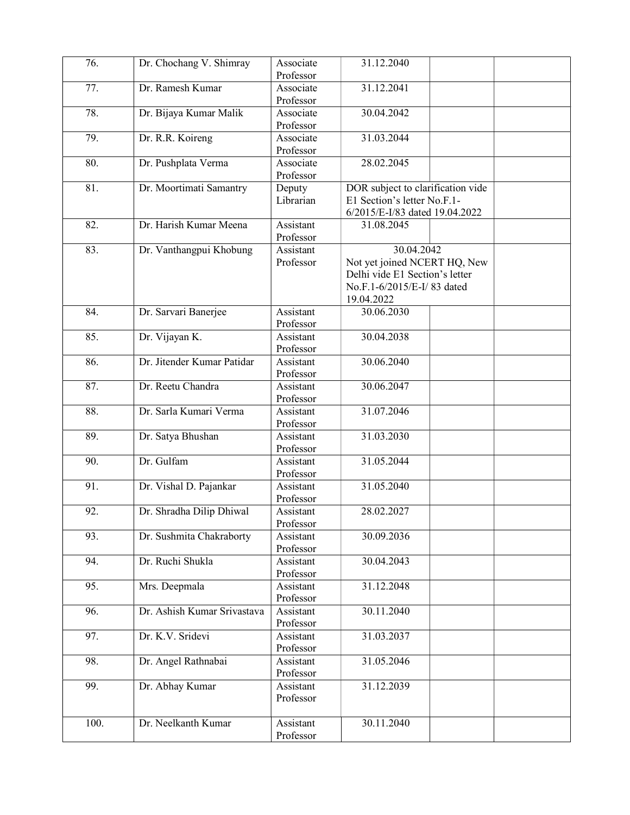| 76.               | Dr. Chochang V. Shimray     | Associate<br>Professor | 31.12.2040                                                                                                               |  |
|-------------------|-----------------------------|------------------------|--------------------------------------------------------------------------------------------------------------------------|--|
| 77.               | Dr. Ramesh Kumar            | Associate<br>Professor | 31.12.2041                                                                                                               |  |
| 78.               | Dr. Bijaya Kumar Malik      | Associate<br>Professor | 30.04.2042                                                                                                               |  |
| 79.               | Dr. R.R. Koireng            | Associate              | 31.03.2044                                                                                                               |  |
| 80.               | Dr. Pushplata Verma         | Professor<br>Associate | 28.02.2045                                                                                                               |  |
|                   |                             | Professor              |                                                                                                                          |  |
| 81.               | Dr. Moortimati Samantry     | Deputy<br>Librarian    | DOR subject to clarification vide<br>E1 Section's letter No.F.1-<br>6/2015/E-I/83 dated 19.04.2022                       |  |
| 82.               | Dr. Harish Kumar Meena      | Assistant<br>Professor | 31.08.2045                                                                                                               |  |
| 83.               | Dr. Vanthangpui Khobung     | Assistant<br>Professor | 30.04.2042<br>Not yet joined NCERT HQ, New<br>Delhi vide E1 Section's letter<br>No.F.1-6/2015/E-I/83 dated<br>19.04.2022 |  |
| 84.               | Dr. Sarvari Banerjee        | Assistant<br>Professor | 30.06.2030                                                                                                               |  |
| 85.               | Dr. Vijayan K.              | Assistant<br>Professor | 30.04.2038                                                                                                               |  |
| 86.               | Dr. Jitender Kumar Patidar  | Assistant<br>Professor | 30.06.2040                                                                                                               |  |
| 87.               | Dr. Reetu Chandra           | Assistant<br>Professor | 30.06.2047                                                                                                               |  |
| 88.               | Dr. Sarla Kumari Verma      | Assistant<br>Professor | 31.07.2046                                                                                                               |  |
| 89.               | Dr. Satya Bhushan           | Assistant<br>Professor | 31.03.2030                                                                                                               |  |
| $\overline{90}$ . | Dr. Gulfam                  | Assistant<br>Professor | 31.05.2044                                                                                                               |  |
| 91.               | Dr. Vishal D. Pajankar      | Assistant<br>Professor | 31.05.2040                                                                                                               |  |
| 92.               | Dr. Shradha Dilip Dhiwal    | Assistant<br>Professor | 28.02.2027                                                                                                               |  |
| 93.               | Dr. Sushmita Chakraborty    | Assistant<br>Professor | 30.09.2036                                                                                                               |  |
| 94.               | Dr. Ruchi Shukla            | Assistant<br>Professor | 30.04.2043                                                                                                               |  |
| 95.               | Mrs. Deepmala               | Assistant<br>Professor | 31.12.2048                                                                                                               |  |
| 96.               | Dr. Ashish Kumar Srivastava | Assistant<br>Professor | 30.11.2040                                                                                                               |  |
| 97.               | Dr. K.V. Sridevi            | Assistant<br>Professor | 31.03.2037                                                                                                               |  |
| 98.               | Dr. Angel Rathnabai         | Assistant<br>Professor | 31.05.2046                                                                                                               |  |
| 99.               | Dr. Abhay Kumar             | Assistant<br>Professor | 31.12.2039                                                                                                               |  |
| 100.              | Dr. Neelkanth Kumar         | Assistant<br>Professor | 30.11.2040                                                                                                               |  |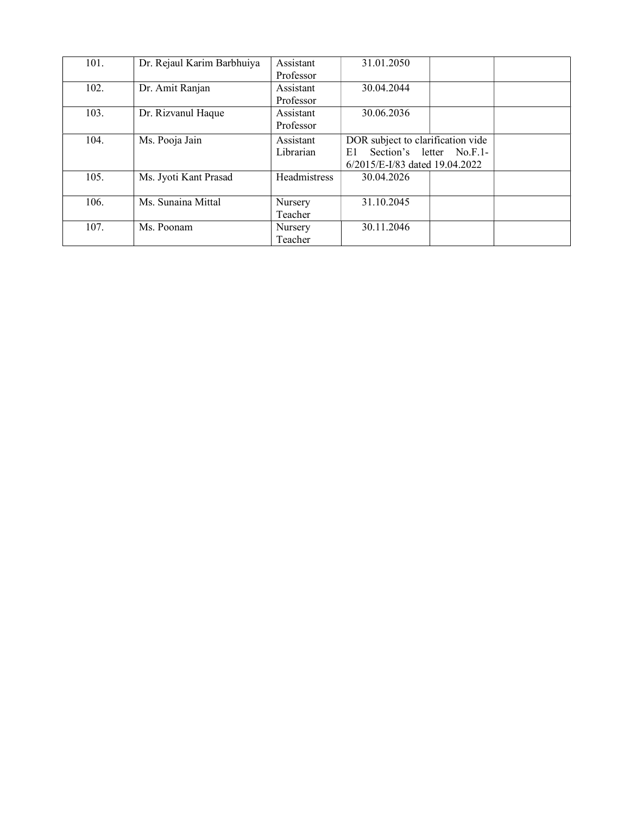| 101. | Dr. Rejaul Karim Barbhuiya | Assistant    | 31.01.2050                        |                          |  |
|------|----------------------------|--------------|-----------------------------------|--------------------------|--|
|      |                            | Professor    |                                   |                          |  |
| 102. | Dr. Amit Ranjan            | Assistant    | 30.04.2044                        |                          |  |
|      |                            | Professor    |                                   |                          |  |
| 103. | Dr. Rizvanul Haque         | Assistant    | 30.06.2036                        |                          |  |
|      |                            | Professor    |                                   |                          |  |
| 104. | Ms. Pooja Jain             | Assistant    | DOR subject to clarification vide |                          |  |
|      |                            | Librarian    | E1.                               | Section's letter No.F.1- |  |
|      |                            |              | 6/2015/E-I/83 dated 19.04.2022    |                          |  |
| 105. | Ms. Jyoti Kant Prasad      | Headmistress | 30.04.2026                        |                          |  |
|      |                            |              |                                   |                          |  |
| 106. | Ms. Sunaina Mittal         | Nursery      | 31.10.2045                        |                          |  |
|      |                            | Teacher      |                                   |                          |  |
| 107. | Ms. Poonam                 | Nursery      | 30.11.2046                        |                          |  |
|      |                            | Teacher      |                                   |                          |  |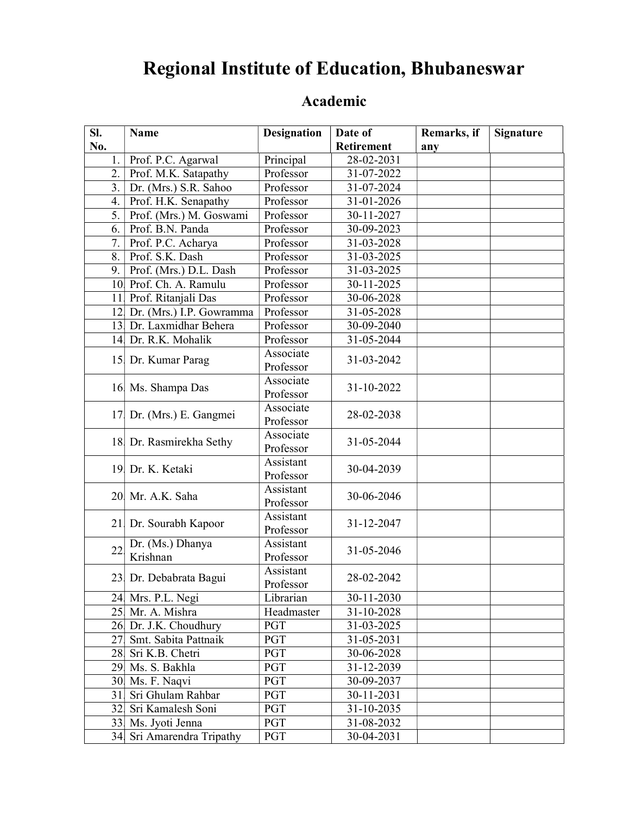# Regional Institute of Education, Bhubaneswar

| SI. | <b>Name</b>                                  | <b>Designation</b>      | Date of                  | Remarks, if | <b>Signature</b> |
|-----|----------------------------------------------|-------------------------|--------------------------|-------------|------------------|
| No. |                                              |                         | <b>Retirement</b>        | any         |                  |
| 1.  | Prof. P.C. Agarwal                           | Principal               | 28-02-2031               |             |                  |
| 2.  | Prof. M.K. Satapathy                         | Professor               | 31-07-2022               |             |                  |
| 3.  | Dr. (Mrs.) S.R. Sahoo                        | Professor               | 31-07-2024               |             |                  |
| 4.  | Prof. H.K. Senapathy                         | Professor               | 31-01-2026               |             |                  |
| 5.  | Prof. (Mrs.) M. Goswami                      | Professor               | 30-11-2027               |             |                  |
| 6.  | Prof. B.N. Panda                             | Professor               | 30-09-2023               |             |                  |
| 7.  | Prof. P.C. Acharya                           | Professor               | 31-03-2028               |             |                  |
| 8.  | Prof. S.K. Dash                              | Professor               | 31-03-2025               |             |                  |
| 9.  | Prof. (Mrs.) D.L. Dash                       | Professor               | 31-03-2025               |             |                  |
|     | 10 Prof. Ch. A. Ramulu                       | Professor               | 30-11-2025               |             |                  |
| 11  | Prof. Ritanjali Das                          | Professor               | 30-06-2028               |             |                  |
| 2   | Dr. (Mrs.) I.P. Gowramma                     | Professor               | 31-05-2028               |             |                  |
|     | 13 Dr. Laxmidhar Behera                      | Professor               | 30-09-2040               |             |                  |
|     | 14 Dr. R.K. Mohalik                          | Professor               | 31-05-2044               |             |                  |
|     | 15 Dr. Kumar Parag                           | Associate               | 31-03-2042               |             |                  |
|     |                                              | Professor               |                          |             |                  |
|     | 16 Ms. Shampa Das                            | Associate               | 31-10-2022               |             |                  |
|     |                                              | Professor               |                          |             |                  |
|     | 17 Dr. (Mrs.) E. Gangmei                     | Associate               | 28-02-2038               |             |                  |
|     |                                              | Professor               |                          |             |                  |
|     | 18 Dr. Rasmirekha Sethy                      | Associate               | 31-05-2044               |             |                  |
|     |                                              | Professor               |                          |             |                  |
|     | 19 Dr. K. Ketaki                             | Assistant               | 30-04-2039               |             |                  |
|     |                                              | Professor               |                          |             |                  |
|     | 20 Mr. A.K. Saha                             | Assistant               | 30-06-2046               |             |                  |
|     |                                              | Professor               |                          |             |                  |
|     | 21 Dr. Sourabh Kapoor                        | Assistant               | 31-12-2047               |             |                  |
|     |                                              | Professor               |                          |             |                  |
| 22  | Dr. (Ms.) Dhanya                             | Assistant               | 31-05-2046               |             |                  |
|     | Krishnan                                     | Professor               |                          |             |                  |
|     | 23 Dr. Debabrata Bagui                       | Assistant               | 28-02-2042               |             |                  |
|     | 24 Mrs. P.L. Negi                            | Professor               | 30-11-2030               |             |                  |
|     | 25 Mr. A. Mishra                             | Librarian<br>Headmaster | 31-10-2028               |             |                  |
|     | 26 Dr. J.K. Choudhury                        | PGT                     |                          |             |                  |
|     | 27 Smt. Sabita Pattnaik                      | PGT                     | 31-03-2025<br>31-05-2031 |             |                  |
|     | 28 Sri K.B. Chetri                           | PGT                     | 30-06-2028               |             |                  |
|     | 29 Ms. S. Bakhla                             |                         |                          |             |                  |
|     |                                              | PGT                     | 31-12-2039               |             |                  |
|     | 30 Ms. F. Naqvi                              | PGT                     | 30-09-2037               |             |                  |
|     | 31 Sri Ghulam Rahbar<br>32 Sri Kamalesh Soni | PGT<br>PGT              | 30-11-2031               |             |                  |
|     |                                              |                         | 31-10-2035               |             |                  |
|     | 33 Ms. Jyoti Jenna                           | PGT                     | 31-08-2032               |             |                  |
|     | 34 Sri Amarendra Tripathy                    | PGT                     | 30-04-2031               |             |                  |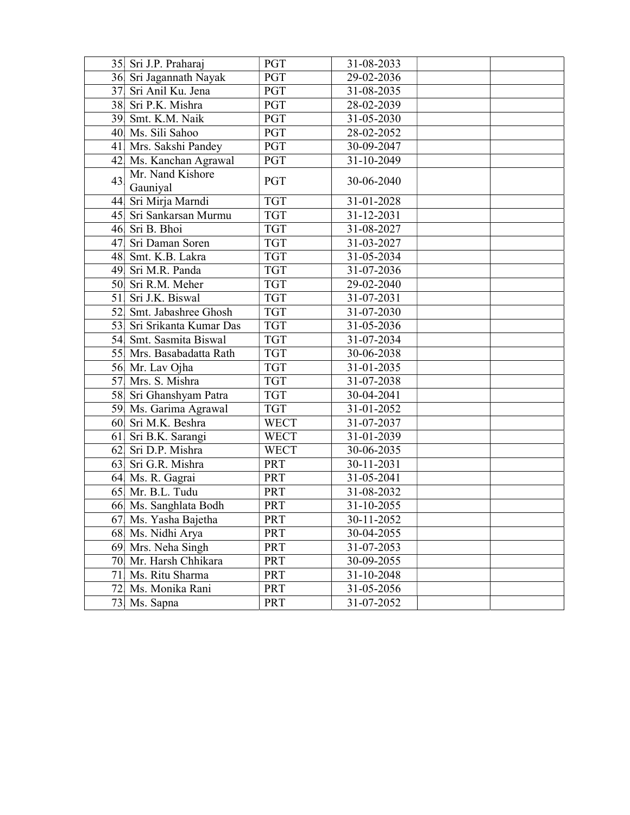|    | 35 Sri J.P. Praharaj         | PGT         | 31-08-2033       |  |
|----|------------------------------|-------------|------------------|--|
|    | 36 Sri Jagannath Nayak       | PGT         | 29-02-2036       |  |
|    | 37 Sri Anil Ku. Jena         | PGT         | 31-08-2035       |  |
|    | 38 Sri P.K. Mishra           | PGT         | 28-02-2039       |  |
|    | 39 Smt. K.M. Naik            | PGT         | 31-05-2030       |  |
|    | 40 Ms. Sili Sahoo            | <b>PGT</b>  | 28-02-2052       |  |
|    | 41 Mrs. Sakshi Pandey        | <b>PGT</b>  | 30-09-2047       |  |
|    | 42 Ms. Kanchan Agrawal       | PGT         | 31-10-2049       |  |
| 43 | Mr. Nand Kishore<br>Gauniyal | PGT         | 30-06-2040       |  |
|    | 44 Sri Mirja Marndi          | <b>TGT</b>  | 31-01-2028       |  |
|    | 45 Sri Sankarsan Murmu       | <b>TGT</b>  | 31-12-2031       |  |
|    | 46 Sri B. Bhoi               | <b>TGT</b>  | 31-08-2027       |  |
| 47 | Sri Daman Soren              | <b>TGT</b>  | 31-03-2027       |  |
|    | 48 Smt. K.B. Lakra           | <b>TGT</b>  | 31-05-2034       |  |
|    | 49 Sri M.R. Panda            | <b>TGT</b>  | 31-07-2036       |  |
|    | 50 Sri R.M. Meher            | <b>TGT</b>  | 29-02-2040       |  |
|    | 51 Sri J.K. Biswal           | <b>TGT</b>  | 31-07-2031       |  |
|    | 52 Smt. Jabashree Ghosh      | <b>TGT</b>  | 31-07-2030       |  |
|    | 53 Sri Srikanta Kumar Das    | <b>TGT</b>  | 31-05-2036       |  |
|    | 54 Smt. Sasmita Biswal       | <b>TGT</b>  | 31-07-2034       |  |
|    | 55 Mrs. Basabadatta Rath     | <b>TGT</b>  | 30-06-2038       |  |
|    | 56 Mr. Lav Ojha              | <b>TGT</b>  | 31-01-2035       |  |
|    | 57 Mrs. S. Mishra            | <b>TGT</b>  | 31-07-2038       |  |
|    | 58 Sri Ghanshyam Patra       | <b>TGT</b>  | 30-04-2041       |  |
|    | 59 Ms. Garima Agrawal        | <b>TGT</b>  | 31-01-2052       |  |
|    | 60 Sri M.K. Beshra           | <b>WECT</b> | 31-07-2037       |  |
|    | 61 Sri B.K. Sarangi          | <b>WECT</b> | 31-01-2039       |  |
| 62 | Sri D.P. Mishra              | <b>WECT</b> | 30-06-2035       |  |
| 63 | Sri G.R. Mishra              | PRT         | 30-11-2031       |  |
|    | 64 Ms. R. Gagrai             | PRT         | 31-05-2041       |  |
|    | 65 Mr. B.L. Tudu             | PRT         | 31-08-2032       |  |
|    | 66 Ms. Sanghlata Bodh        | PRT         | 31-10-2055       |  |
|    | 67 Ms. Yasha Bajetha         | PRT         | $30 - 11 - 2052$ |  |
|    | 68 Ms. Nidhi Arya            | PRT         | 30-04-2055       |  |
|    | 69 Mrs. Neha Singh           | PRT         | 31-07-2053       |  |
|    | 70 Mr. Harsh Chhikara        | PRT         | 30-09-2055       |  |
| 71 | Ms. Ritu Sharma              | PRT         | 31-10-2048       |  |
|    | 72 Ms. Monika Rani           | PRT         | 31-05-2056       |  |
|    | 73. Ms. Sapna                | PRT         | 31-07-2052       |  |
|    |                              |             |                  |  |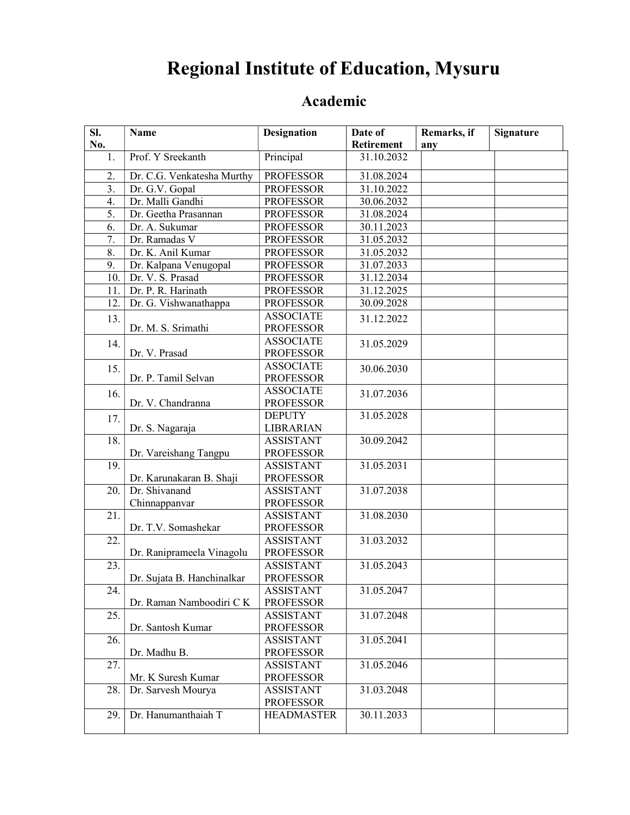# Regional Institute of Education, Mysuru

| SI.              | Name                       | <b>Designation</b>                   | Date of    | Remarks, if | <b>Signature</b> |
|------------------|----------------------------|--------------------------------------|------------|-------------|------------------|
| No.              |                            |                                      | Retirement | any         |                  |
| 1.               | Prof. Y Sreekanth          | Principal                            | 31.10.2032 |             |                  |
| 2.               | Dr. C.G. Venkatesha Murthy | <b>PROFESSOR</b>                     | 31.08.2024 |             |                  |
| 3.               | Dr. G.V. Gopal             | <b>PROFESSOR</b>                     | 31.10.2022 |             |                  |
| 4.               | Dr. Malli Gandhi           | <b>PROFESSOR</b>                     | 30.06.2032 |             |                  |
| 5.               | Dr. Geetha Prasannan       | <b>PROFESSOR</b>                     | 31.08.2024 |             |                  |
| 6.               | Dr. A. Sukumar             | <b>PROFESSOR</b>                     | 30.11.2023 |             |                  |
| 7.               | Dr. Ramadas V              | <b>PROFESSOR</b>                     | 31.05.2032 |             |                  |
| $\overline{8}$ . | Dr. K. Anil Kumar          | <b>PROFESSOR</b>                     | 31.05.2032 |             |                  |
| 9.               | Dr. Kalpana Venugopal      | <b>PROFESSOR</b>                     | 31.07.2033 |             |                  |
| 10.              | Dr. V. S. Prasad           | <b>PROFESSOR</b>                     | 31.12.2034 |             |                  |
| 11.              | Dr. P. R. Harinath         | <b>PROFESSOR</b>                     | 31.12.2025 |             |                  |
| 12.              | Dr. G. Vishwanathappa      | <b>PROFESSOR</b>                     | 30.09.2028 |             |                  |
| 13.              |                            | <b>ASSOCIATE</b>                     | 31.12.2022 |             |                  |
|                  | Dr. M. S. Srimathi         | <b>PROFESSOR</b>                     |            |             |                  |
| 14.              |                            | <b>ASSOCIATE</b>                     | 31.05.2029 |             |                  |
|                  | Dr. V. Prasad              | <b>PROFESSOR</b>                     |            |             |                  |
| 15.              |                            | <b>ASSOCIATE</b>                     | 30.06.2030 |             |                  |
|                  | Dr. P. Tamil Selvan        | <b>PROFESSOR</b>                     |            |             |                  |
| 16.              |                            | <b>ASSOCIATE</b>                     | 31.07.2036 |             |                  |
|                  | Dr. V. Chandranna          | <b>PROFESSOR</b>                     |            |             |                  |
| 17.              |                            | <b>DEPUTY</b>                        | 31.05.2028 |             |                  |
|                  | Dr. S. Nagaraja            | <b>LIBRARIAN</b>                     |            |             |                  |
| 18.              |                            | <b>ASSISTANT</b>                     | 30.09.2042 |             |                  |
| 19.              | Dr. Vareishang Tangpu      | <b>PROFESSOR</b><br><b>ASSISTANT</b> | 31.05.2031 |             |                  |
|                  | Dr. Karunakaran B. Shaji   | <b>PROFESSOR</b>                     |            |             |                  |
| 20.              | Dr. Shivanand              | <b>ASSISTANT</b>                     | 31.07.2038 |             |                  |
|                  | Chinnappanvar              | <b>PROFESSOR</b>                     |            |             |                  |
| 21.              |                            | <b>ASSISTANT</b>                     | 31.08.2030 |             |                  |
|                  | Dr. T.V. Somashekar        | <b>PROFESSOR</b>                     |            |             |                  |
| 22.              |                            | <b>ASSISTANT</b>                     | 31.03.2032 |             |                  |
|                  | Dr. Raniprameela Vinagolu  | <b>PROFESSOR</b>                     |            |             |                  |
| 23.              |                            | <b>ASSISTANT</b>                     | 31.05.2043 |             |                  |
|                  | Dr. Sujata B. Hanchinalkar | <b>PROFESSOR</b>                     |            |             |                  |
| 24.              |                            | <b>ASSISTANT</b>                     | 31.05.2047 |             |                  |
|                  | Dr. Raman Namboodiri CK    | <b>PROFESSOR</b>                     |            |             |                  |
| 25.              |                            | <b>ASSISTANT</b>                     | 31.07.2048 |             |                  |
|                  | Dr. Santosh Kumar          | <b>PROFESSOR</b>                     |            |             |                  |
| 26.              |                            | <b>ASSISTANT</b>                     | 31.05.2041 |             |                  |
|                  | Dr. Madhu B.               | <b>PROFESSOR</b>                     |            |             |                  |
| 27.              |                            | <b>ASSISTANT</b>                     | 31.05.2046 |             |                  |
|                  | Mr. K Suresh Kumar         | <b>PROFESSOR</b>                     |            |             |                  |
| 28.              | Dr. Sarvesh Mourya         | <b>ASSISTANT</b>                     | 31.03.2048 |             |                  |
|                  |                            | <b>PROFESSOR</b>                     |            |             |                  |
| 29.              | Dr. Hanumanthaiah T        | <b>HEADMASTER</b>                    | 30.11.2033 |             |                  |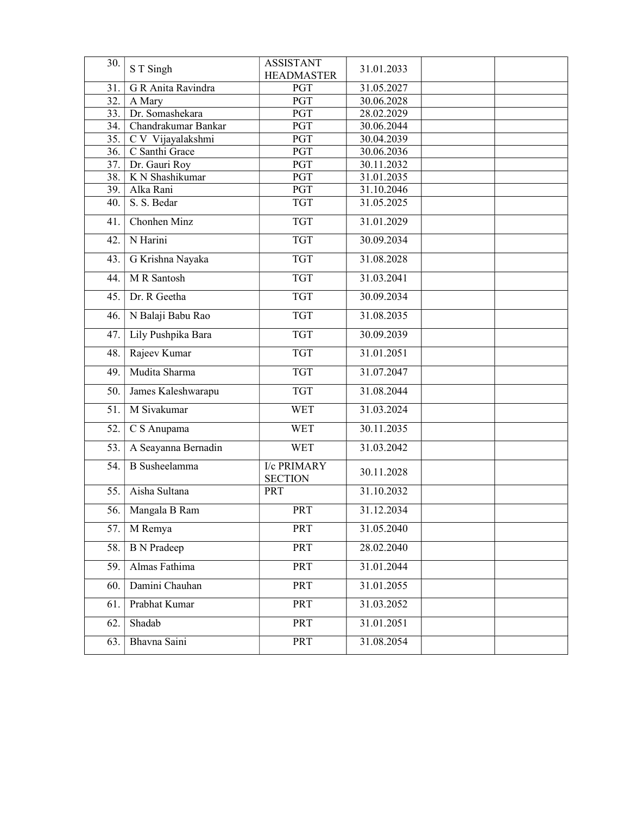| 30. | S T Singh            | <b>ASSISTANT</b><br><b>HEADMASTER</b> | 31.01.2033 |  |
|-----|----------------------|---------------------------------------|------------|--|
| 31. | G R Anita Ravindra   | <b>PGT</b>                            | 31.05.2027 |  |
| 32. | A Mary               | <b>PGT</b>                            | 30.06.2028 |  |
| 33. | Dr. Somashekara      | PGT                                   | 28.02.2029 |  |
| 34. | Chandrakumar Bankar  | PGT                                   | 30.06.2044 |  |
| 35. | C V Vijayalakshmi    | <b>PGT</b>                            | 30.04.2039 |  |
| 36. | C Santhi Grace       | PGT                                   | 30.06.2036 |  |
| 37. | Dr. Gauri Roy        | <b>PGT</b>                            | 30.11.2032 |  |
| 38. | K N Shashikumar      | $\overline{PGT}$                      | 31.01.2035 |  |
| 39. | Alka Rani            | $\overline{PGT}$                      | 31.10.2046 |  |
| 40. | S. S. Bedar          | <b>TGT</b>                            | 31.05.2025 |  |
| 41. | Chonhen Minz         | <b>TGT</b>                            | 31.01.2029 |  |
| 42. | N Harini             | <b>TGT</b>                            | 30.09.2034 |  |
| 43. | G Krishna Nayaka     | <b>TGT</b>                            | 31.08.2028 |  |
| 44. | M R Santosh          | <b>TGT</b>                            | 31.03.2041 |  |
| 45. | Dr. R Geetha         | <b>TGT</b>                            | 30.09.2034 |  |
| 46. | N Balaji Babu Rao    | <b>TGT</b>                            | 31.08.2035 |  |
| 47. | Lily Pushpika Bara   | <b>TGT</b>                            | 30.09.2039 |  |
| 48. | Rajeev Kumar         | <b>TGT</b>                            | 31.01.2051 |  |
| 49. | Mudita Sharma        | <b>TGT</b>                            | 31.07.2047 |  |
| 50. | James Kaleshwarapu   | <b>TGT</b>                            | 31.08.2044 |  |
| 51. | M Sivakumar          | <b>WET</b>                            | 31.03.2024 |  |
| 52. | C S Anupama          | <b>WET</b>                            | 30.11.2035 |  |
| 53. | A Seayanna Bernadin  | <b>WET</b>                            | 31.03.2042 |  |
| 54. | <b>B</b> Susheelamma | <b>I/c PRIMARY</b><br><b>SECTION</b>  | 30.11.2028 |  |
| 55. | Aisha Sultana        | <b>PRT</b>                            | 31.10.2032 |  |
| 56. | Mangala B Ram        | PRT                                   | 31.12.2034 |  |
| 57. | M Remya              | PRT                                   | 31.05.2040 |  |
| 58. | <b>B</b> N Pradeep   | PRT                                   | 28.02.2040 |  |
| 59. | Almas Fathima        | PRT                                   | 31.01.2044 |  |
| 60. | Damini Chauhan       | PRT                                   | 31.01.2055 |  |
| 61. | Prabhat Kumar        | PRT                                   | 31.03.2052 |  |
| 62. | Shadab               | PRT                                   | 31.01.2051 |  |
| 63. | Bhavna Saini         | PRT                                   | 31.08.2054 |  |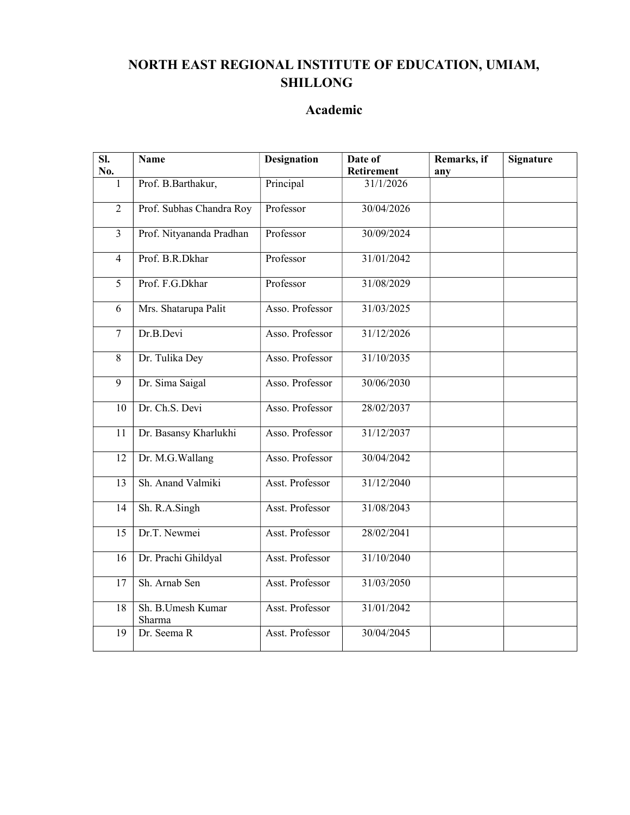#### NORTH EAST REGIONAL INSTITUTE OF EDUCATION, UMIAM, SHILLONG

| $\overline{\text{SL}}$ | <b>Name</b>                 | <b>Designation</b> | Date of                       | Remarks, if | <b>Signature</b> |
|------------------------|-----------------------------|--------------------|-------------------------------|-------------|------------------|
| No.                    |                             |                    | <b>Retirement</b>             | any         |                  |
| $\mathbf{1}$           | Prof. B.Barthakur,          | Principal          | $\frac{1}{31}/\frac{1}{2026}$ |             |                  |
| $\overline{2}$         | Prof. Subhas Chandra Roy    | Professor          | 30/04/2026                    |             |                  |
| $\overline{3}$         | Prof. Nityananda Pradhan    | Professor          | 30/09/2024                    |             |                  |
| $\overline{4}$         | Prof. B.R.Dkhar             | Professor          | 31/01/2042                    |             |                  |
| 5                      | Prof. F.G.Dkhar             | Professor          | 31/08/2029                    |             |                  |
| 6                      | Mrs. Shatarupa Palit        | Asso. Professor    | 31/03/2025                    |             |                  |
| $\tau$                 | Dr.B.Devi                   | Asso. Professor    | 31/12/2026                    |             |                  |
| 8                      | Dr. Tulika Dey              | Asso. Professor    | 31/10/2035                    |             |                  |
| $\overline{9}$         | Dr. Sima Saigal             | Asso. Professor    | 30/06/2030                    |             |                  |
| 10                     | Dr. Ch.S. Devi              | Asso. Professor    | 28/02/2037                    |             |                  |
| 11                     | Dr. Basansy Kharlukhi       | Asso. Professor    | 31/12/2037                    |             |                  |
| 12                     | Dr. M.G. Wallang            | Asso. Professor    | 30/04/2042                    |             |                  |
| 13                     | Sh. Anand Valmiki           | Asst. Professor    | 31/12/2040                    |             |                  |
| 14                     | Sh. R.A.Singh               | Asst. Professor    | 31/08/2043                    |             |                  |
| 15                     | Dr.T. Newmei                | Asst. Professor    | 28/02/2041                    |             |                  |
| 16                     | Dr. Prachi Ghildyal         | Asst. Professor    | 31/10/2040                    |             |                  |
| 17                     | Sh. Arnab Sen               | Asst. Professor    | 31/03/2050                    |             |                  |
| 18                     | Sh. B.Umesh Kumar<br>Sharma | Asst. Professor    | 31/01/2042                    |             |                  |
| 19                     | Dr. Seema R                 | Asst. Professor    | 30/04/2045                    |             |                  |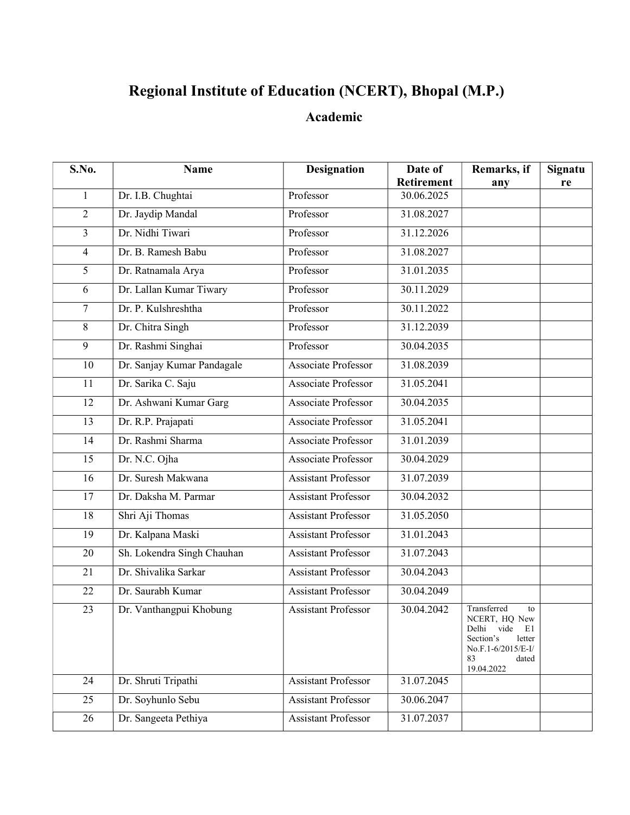## Regional Institute of Education (NCERT), Bhopal (M.P.)

| S.No.          | <b>Name</b>                | <b>Designation</b>         | Date of    | Remarks, if                                                                                                                         | Signatu |
|----------------|----------------------------|----------------------------|------------|-------------------------------------------------------------------------------------------------------------------------------------|---------|
|                |                            |                            | Retirement | any                                                                                                                                 | re      |
| 1              | Dr. I.B. Chughtai          | Professor                  | 30.06.2025 |                                                                                                                                     |         |
| $\overline{2}$ | Dr. Jaydip Mandal          | Professor                  | 31.08.2027 |                                                                                                                                     |         |
| 3              | Dr. Nidhi Tiwari           | Professor                  | 31.12.2026 |                                                                                                                                     |         |
| 4              | Dr. B. Ramesh Babu         | Professor                  | 31.08.2027 |                                                                                                                                     |         |
| 5              | Dr. Ratnamala Arya         | Professor                  | 31.01.2035 |                                                                                                                                     |         |
| 6              | Dr. Lallan Kumar Tiwary    | Professor                  | 30.11.2029 |                                                                                                                                     |         |
| $\overline{7}$ | Dr. P. Kulshreshtha        | Professor                  | 30.11.2022 |                                                                                                                                     |         |
| 8              | Dr. Chitra Singh           | Professor                  | 31.12.2039 |                                                                                                                                     |         |
| 9              | Dr. Rashmi Singhai         | Professor                  | 30.04.2035 |                                                                                                                                     |         |
| 10             | Dr. Sanjay Kumar Pandagale | Associate Professor        | 31.08.2039 |                                                                                                                                     |         |
| 11             | Dr. Sarika C. Saju         | <b>Associate Professor</b> | 31.05.2041 |                                                                                                                                     |         |
| 12             | Dr. Ashwani Kumar Garg     | <b>Associate Professor</b> | 30.04.2035 |                                                                                                                                     |         |
| 13             | Dr. R.P. Prajapati         | <b>Associate Professor</b> | 31.05.2041 |                                                                                                                                     |         |
| 14             | Dr. Rashmi Sharma          | <b>Associate Professor</b> | 31.01.2039 |                                                                                                                                     |         |
| 15             | Dr. N.C. Ojha              | Associate Professor        | 30.04.2029 |                                                                                                                                     |         |
| 16             | Dr. Suresh Makwana         | <b>Assistant Professor</b> | 31.07.2039 |                                                                                                                                     |         |
| 17             | Dr. Daksha M. Parmar       | <b>Assistant Professor</b> | 30.04.2032 |                                                                                                                                     |         |
| 18             | Shri Aji Thomas            | <b>Assistant Professor</b> | 31.05.2050 |                                                                                                                                     |         |
| 19             | Dr. Kalpana Maski          | <b>Assistant Professor</b> | 31.01.2043 |                                                                                                                                     |         |
| 20             | Sh. Lokendra Singh Chauhan | <b>Assistant Professor</b> | 31.07.2043 |                                                                                                                                     |         |
| 21             | Dr. Shivalika Sarkar       | <b>Assistant Professor</b> | 30.04.2043 |                                                                                                                                     |         |
| 22             | Dr. Saurabh Kumar          | <b>Assistant Professor</b> | 30.04.2049 |                                                                                                                                     |         |
| 23             | Dr. Vanthangpui Khobung    | <b>Assistant Professor</b> | 30.04.2042 | Transferred<br>to<br>NCERT, HQ New<br>vide<br>Delhi<br>E1<br>Section's<br>letter<br>No.F.1-6/2015/E-I/<br>83<br>dated<br>19.04.2022 |         |
| 24             | Dr. Shruti Tripathi        | <b>Assistant Professor</b> | 31.07.2045 |                                                                                                                                     |         |
| 25             | Dr. Soyhunlo Sebu          | <b>Assistant Professor</b> | 30.06.2047 |                                                                                                                                     |         |
| 26             | Dr. Sangeeta Pethiya       | <b>Assistant Professor</b> | 31.07.2037 |                                                                                                                                     |         |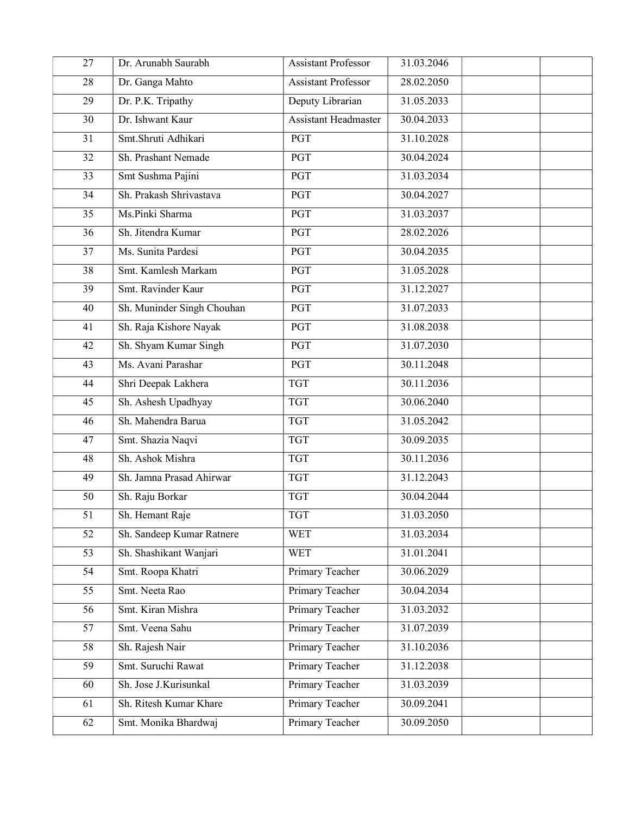| 27              | Dr. Arunabh Saurabh        | <b>Assistant Professor</b>  | 31.03.2046 |  |
|-----------------|----------------------------|-----------------------------|------------|--|
| 28              | Dr. Ganga Mahto            | <b>Assistant Professor</b>  | 28.02.2050 |  |
| 29              | Dr. P.K. Tripathy          | Deputy Librarian            | 31.05.2033 |  |
| 30              | Dr. Ishwant Kaur           | <b>Assistant Headmaster</b> | 30.04.2033 |  |
| 31              | Smt.Shruti Adhikari        | PGT                         | 31.10.2028 |  |
| 32              | Sh. Prashant Nemade        | <b>PGT</b>                  | 30.04.2024 |  |
| 33              | Smt Sushma Pajini          | PGT                         | 31.03.2034 |  |
| 34              | Sh. Prakash Shrivastava    | <b>PGT</b>                  | 30.04.2027 |  |
| 35              | Ms.Pinki Sharma            | PGT                         | 31.03.2037 |  |
| $\overline{36}$ | Sh. Jitendra Kumar         | PGT                         | 28.02.2026 |  |
| 37              | Ms. Sunita Pardesi         | PGT                         | 30.04.2035 |  |
| 38              | Smt. Kamlesh Markam        | PGT                         | 31.05.2028 |  |
| 39              | Smt. Ravinder Kaur         | <b>PGT</b>                  | 31.12.2027 |  |
| 40              | Sh. Muninder Singh Chouhan | <b>PGT</b>                  | 31.07.2033 |  |
| 41              | Sh. Raja Kishore Nayak     | <b>PGT</b>                  | 31.08.2038 |  |
| 42              | Sh. Shyam Kumar Singh      | <b>PGT</b>                  | 31.07.2030 |  |
| 43              | Ms. Avani Parashar         | <b>PGT</b>                  | 30.11.2048 |  |
| 44              | Shri Deepak Lakhera        | <b>TGT</b>                  | 30.11.2036 |  |
| 45              | Sh. Ashesh Upadhyay        | <b>TGT</b>                  | 30.06.2040 |  |
| 46              | Sh. Mahendra Barua         | <b>TGT</b>                  | 31.05.2042 |  |
| 47              | Smt. Shazia Naqvi          | <b>TGT</b>                  | 30.09.2035 |  |
| 48              | Sh. Ashok Mishra           | <b>TGT</b>                  | 30.11.2036 |  |
| 49              | Sh. Jamna Prasad Ahirwar   | <b>TGT</b>                  | 31.12.2043 |  |
| 50              | Sh. Raju Borkar            | <b>TGT</b>                  | 30.04.2044 |  |
| 51              | Sh. Hemant Raje            | <b>TGT</b>                  | 31.03.2050 |  |
| 52              | Sh. Sandeep Kumar Ratnere  | <b>WET</b>                  | 31.03.2034 |  |
| 53              | Sh. Shashikant Wanjari     | <b>WET</b>                  | 31.01.2041 |  |
| 54              | Smt. Roopa Khatri          | <b>Primary Teacher</b>      | 30.06.2029 |  |
| 55              | Smt. Neeta Rao             | <b>Primary Teacher</b>      | 30.04.2034 |  |
| 56              | Smt. Kiran Mishra          | <b>Primary Teacher</b>      | 31.03.2032 |  |
| 57              | Smt. Veena Sahu            | Primary Teacher             | 31.07.2039 |  |
| 58              | Sh. Rajesh Nair            | Primary Teacher             | 31.10.2036 |  |
| 59              | Smt. Suruchi Rawat         | Primary Teacher             | 31.12.2038 |  |
| 60              | Sh. Jose J.Kurisunkal      | Primary Teacher             | 31.03.2039 |  |
| 61              | Sh. Ritesh Kumar Khare     | Primary Teacher             | 30.09.2041 |  |
| 62              | Smt. Monika Bhardwaj       | Primary Teacher             | 30.09.2050 |  |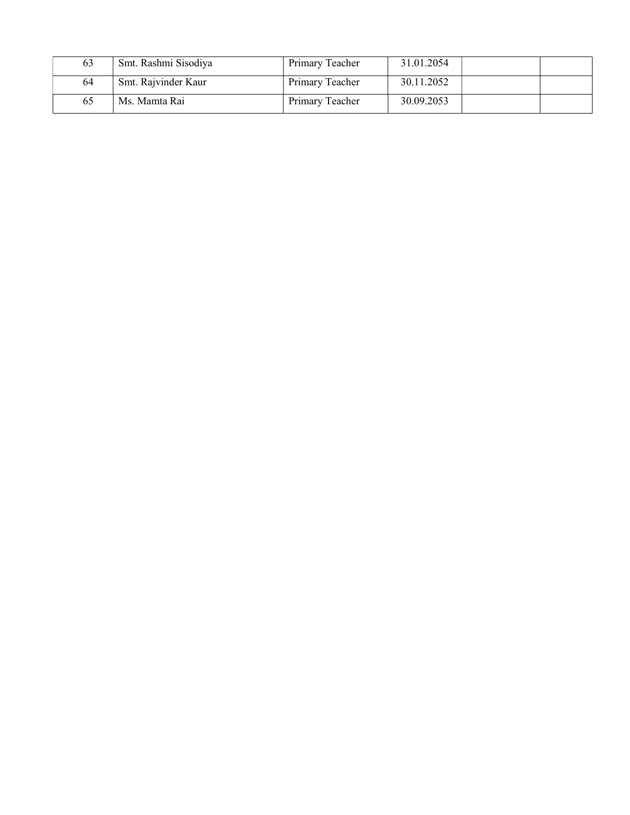| 63 | Smt. Rashmi Sisodiya | Primary Teacher | 31.01.2054 |  |
|----|----------------------|-----------------|------------|--|
| 64 | Smt. Rajvinder Kaur  | Primary Teacher | 30.11.2052 |  |
| 65 | Ms. Mamta Rai        | Primary Teacher | 30.09.2053 |  |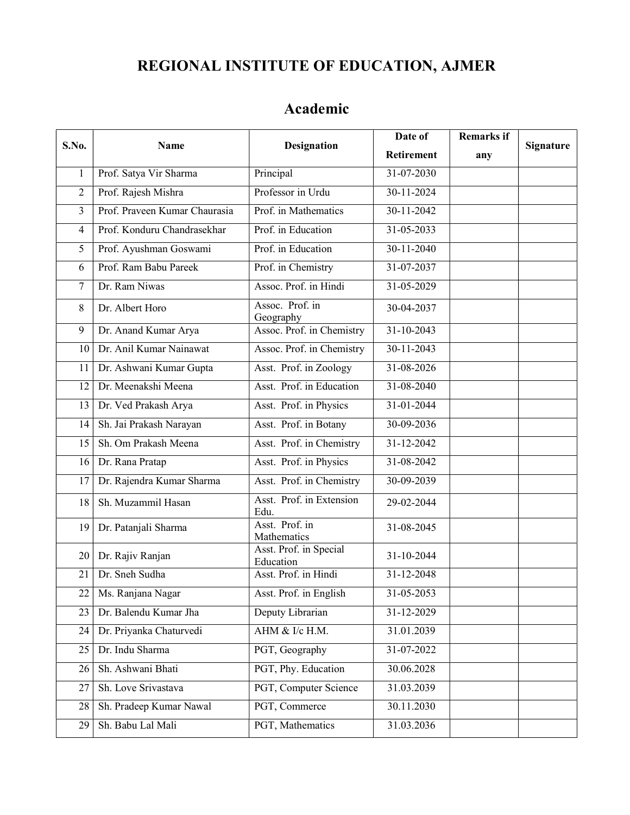## REGIONAL INSTITUTE OF EDUCATION, AJMER

| S.No.          | <b>Name</b>                   | <b>Designation</b>                  | Date of           | <b>Remarks if</b> | <b>Signature</b> |  |
|----------------|-------------------------------|-------------------------------------|-------------------|-------------------|------------------|--|
|                |                               |                                     | <b>Retirement</b> | any               |                  |  |
| $\mathbf{1}$   | Prof. Satya Vir Sharma        | Principal                           | 31-07-2030        |                   |                  |  |
| $\overline{2}$ | Prof. Rajesh Mishra           | Professor in Urdu                   | 30-11-2024        |                   |                  |  |
| $\overline{3}$ | Prof. Praveen Kumar Chaurasia | Prof. in Mathematics                | 30-11-2042        |                   |                  |  |
| $\overline{4}$ | Prof. Konduru Chandrasekhar   | Prof. in Education                  | 31-05-2033        |                   |                  |  |
| 5              | Prof. Ayushman Goswami        | Prof. in Education                  | 30-11-2040        |                   |                  |  |
| 6              | Prof. Ram Babu Pareek         | Prof. in Chemistry                  | 31-07-2037        |                   |                  |  |
| $\overline{7}$ | Dr. Ram Niwas                 | Assoc. Prof. in Hindi               | 31-05-2029        |                   |                  |  |
| 8              | Dr. Albert Horo               | Assoc. Prof. in<br>Geography        | 30-04-2037        |                   |                  |  |
| 9              | Dr. Anand Kumar Arya          | Assoc. Prof. in Chemistry           | 31-10-2043        |                   |                  |  |
| 10             | Dr. Anil Kumar Nainawat       | Assoc. Prof. in Chemistry           | 30-11-2043        |                   |                  |  |
| 11             | Dr. Ashwani Kumar Gupta       | Asst. Prof. in Zoology              | 31-08-2026        |                   |                  |  |
| 12             | Dr. Meenakshi Meena           | Asst. Prof. in Education            | 31-08-2040        |                   |                  |  |
| 13             | Dr. Ved Prakash Arya          | Asst. Prof. in Physics              | 31-01-2044        |                   |                  |  |
| 14             | Sh. Jai Prakash Narayan       | Asst. Prof. in Botany               | 30-09-2036        |                   |                  |  |
| 15             | Sh. Om Prakash Meena          | Asst. Prof. in Chemistry            | $31 - 12 - 2042$  |                   |                  |  |
| 16             | Dr. Rana Pratap               | Asst. Prof. in Physics              | 31-08-2042        |                   |                  |  |
| 17             | Dr. Rajendra Kumar Sharma     | Asst. Prof. in Chemistry            | 30-09-2039        |                   |                  |  |
| 18             | Sh. Muzammil Hasan            | Asst. Prof. in Extension<br>Edu.    | 29-02-2044        |                   |                  |  |
| 19             | Dr. Patanjali Sharma          | Asst. Prof. in<br>Mathematics       | 31-08-2045        |                   |                  |  |
| 20             | Dr. Rajiv Ranjan              | Asst. Prof. in Special<br>Education | 31-10-2044        |                   |                  |  |
| 21             | Dr. Sneh Sudha                | Asst. Prof. in Hindi                | 31-12-2048        |                   |                  |  |
| 22             | Ms. Ranjana Nagar             | Asst. Prof. in English              | $31 - 05 - 2053$  |                   |                  |  |
| 23             | Dr. Balendu Kumar Jha         | Deputy Librarian                    | 31-12-2029        |                   |                  |  |
| 24             | Dr. Priyanka Chaturvedi       | AHM & I/c H.M.                      | 31.01.2039        |                   |                  |  |
| 25             | Dr. Indu Sharma               | PGT, Geography                      | 31-07-2022        |                   |                  |  |
| 26             | Sh. Ashwani Bhati             | PGT, Phy. Education                 | 30.06.2028        |                   |                  |  |
| 27             | Sh. Love Srivastava           | PGT, Computer Science               | 31.03.2039        |                   |                  |  |
| 28             | Sh. Pradeep Kumar Nawal       | PGT, Commerce                       | 30.11.2030        |                   |                  |  |
| 29             | Sh. Babu Lal Mali             | PGT, Mathematics                    | 31.03.2036        |                   |                  |  |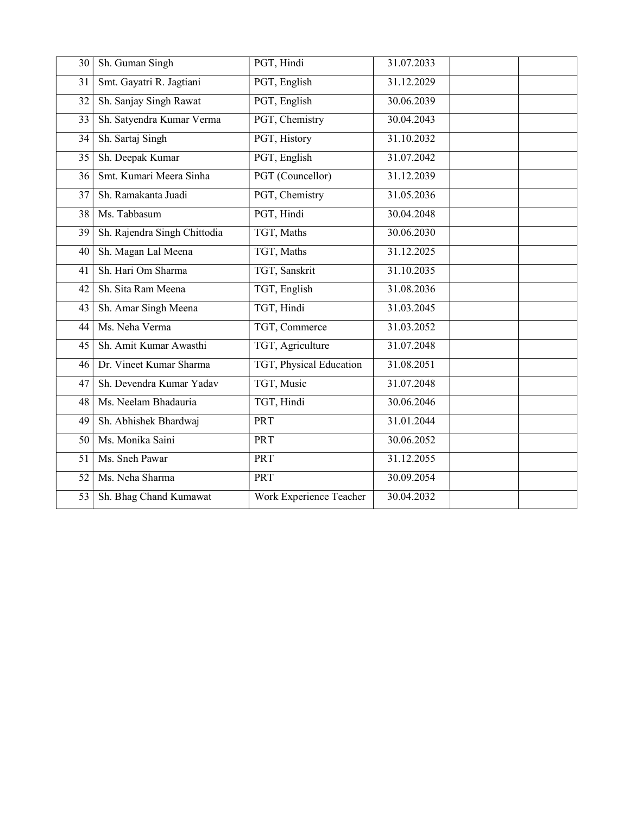| 30 | Sh. Guman Singh              | PGT, Hindi              | 31.07.2033               |
|----|------------------------------|-------------------------|--------------------------|
| 31 | Smt. Gayatri R. Jagtiani     | PGT, English            | 31.12.2029               |
| 32 | Sh. Sanjay Singh Rawat       | PGT, English            | 30.06.2039               |
| 33 | Sh. Satyendra Kumar Verma    | PGT, Chemistry          | 30.04.2043               |
| 34 | Sh. Sartaj Singh             | PGT, History            | 31.10.2032               |
| 35 | Sh. Deepak Kumar             | PGT, English            | 31.07.2042               |
| 36 | Smt. Kumari Meera Sinha      | PGT (Councellor)        | 31.12.2039               |
| 37 | Sh. Ramakanta Juadi          | PGT, Chemistry          | 31.05.2036               |
| 38 | Ms. Tabbasum                 | PGT, Hindi              | 30.04.2048               |
| 39 | Sh. Rajendra Singh Chittodia | TGT, Maths              | 30.06.2030               |
| 40 | Sh. Magan Lal Meena          | TGT, Maths              | 31.12.2025               |
| 41 | Sh. Hari Om Sharma           | TGT, Sanskrit           | 31.10.2035               |
| 42 | Sh. Sita Ram Meena           | TGT, English            | 31.08.2036               |
| 43 | Sh. Amar Singh Meena         | TGT, Hindi              | 31.03.2045               |
| 44 | Ms. Neha Verma               | TGT, Commerce           | 31.03.2052               |
| 45 | Sh. Amit Kumar Awasthi       | TGT, Agriculture        | $\overline{31.07}$ .2048 |
| 46 | Dr. Vineet Kumar Sharma      | TGT, Physical Education | 31.08.2051               |
| 47 | Sh. Devendra Kumar Yadav     | TGT, Music              | 31.07.2048               |
| 48 | Ms. Neelam Bhadauria         | TGT, Hindi              | 30.06.2046               |
| 49 | Sh. Abhishek Bhardwaj        | PRT                     | 31.01.2044               |
| 50 | Ms. Monika Saini             | PRT                     | 30.06.2052               |
| 51 | Ms. Sneh Pawar               | PRT                     | 31.12.2055               |
| 52 | Ms. Neha Sharma              | PRT                     | 30.09.2054               |
| 53 | Sh. Bhag Chand Kumawat       | Work Experience Teacher | 30.04.2032               |